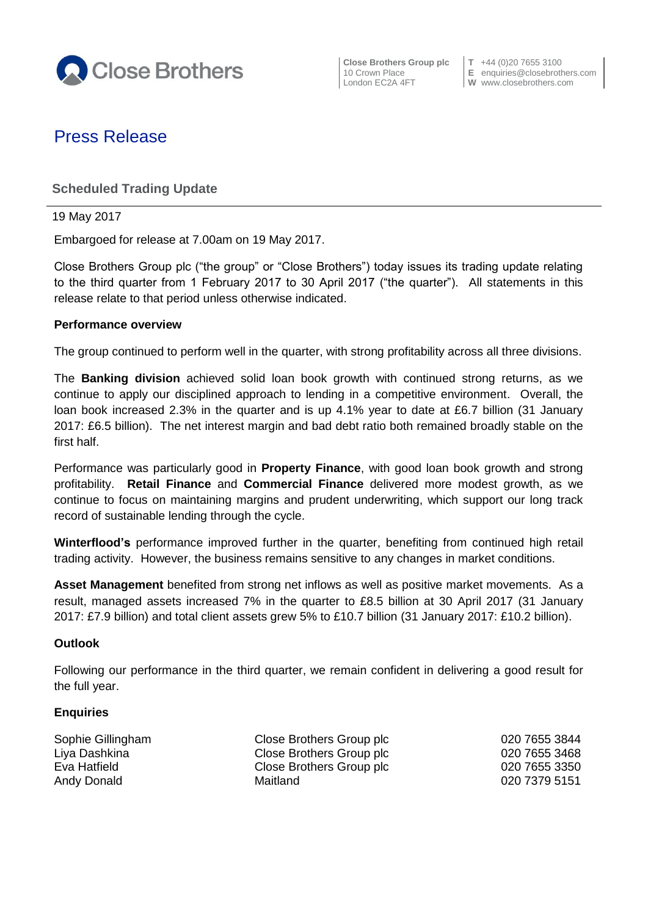

**Close Brothers Group plc T** +44 (0)20 7655 3100

10 Crown Place **E** enquiries@closebrothers.com London EC2A 4FT **W** www.closebrothers.com

# Press Release

## **Scheduled Trading Update**

19 May 2017

Embargoed for release at 7.00am on 19 May 2017.

Close Brothers Group plc ("the group" or "Close Brothers") today issues its trading update relating to the third quarter from 1 February 2017 to 30 April 2017 ("the quarter"). All statements in this release relate to that period unless otherwise indicated.

#### **Performance overview**

The group continued to perform well in the quarter, with strong profitability across all three divisions.

The **Banking division** achieved solid loan book growth with continued strong returns, as we continue to apply our disciplined approach to lending in a competitive environment. Overall, the loan book increased 2.3% in the quarter and is up 4.1% year to date at £6.7 billion (31 January 2017: £6.5 billion). The net interest margin and bad debt ratio both remained broadly stable on the first half.

Performance was particularly good in **Property Finance**, with good loan book growth and strong profitability. **Retail Finance** and **Commercial Finance** delivered more modest growth, as we continue to focus on maintaining margins and prudent underwriting, which support our long track record of sustainable lending through the cycle.

**Winterflood's** performance improved further in the quarter, benefiting from continued high retail trading activity. However, the business remains sensitive to any changes in market conditions.

**Asset Management** benefited from strong net inflows as well as positive market movements. As a result, managed assets increased 7% in the quarter to £8.5 billion at 30 April 2017 (31 January 2017: £7.9 billion) and total client assets grew 5% to £10.7 billion (31 January 2017: £10.2 billion).

#### **Outlook**

Following our performance in the third quarter, we remain confident in delivering a good result for the full year.

#### **Enquiries**

| Close Brothers Group plc                             | 020 7655 3844                  |
|------------------------------------------------------|--------------------------------|
| Close Brothers Group plc<br>Close Brothers Group plc | 020 7655 3468<br>020 7655 3350 |
|                                                      |                                |
|                                                      |                                |